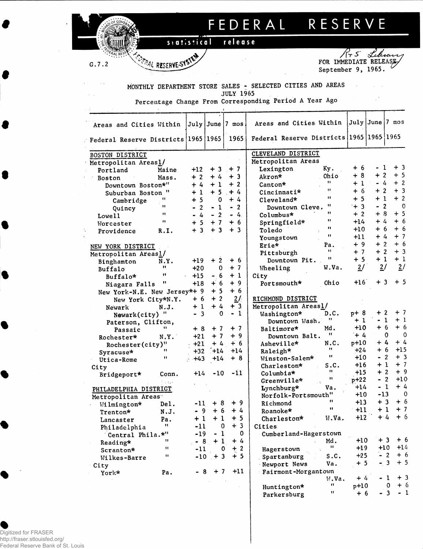## FEDERAL RESERVE

## release siatistical

PERAL RESERVE-SYSTEM

 $G.7.2$ 

 $\sim$   $\sim$ 

FOR IMMEDIATE RELEASE September 9, 1965.

 $\sim 100$ 

 $-3$ 

 $-1$ 

 $+6$ 

 $\pmb{\mathfrak{m}}$ 

Parkersburg

MONTHLY DEPARTMENT STORE SALES - SELECTED CITIES AND AREAS **JULY 1965** 

Percentage Change From Corresponding Period A Year Ago

| Areas and Cities Within             |              |                                  |                           | July June 7 mos. | Areas and Cities Within                  |              | July June 7 mos |                |                        |
|-------------------------------------|--------------|----------------------------------|---------------------------|------------------|------------------------------------------|--------------|-----------------|----------------|------------------------|
| Federal Reserve Districts 1965 1965 |              |                                  |                           | 1965             | Federal Reserve Districts 1965 1965 1965 |              |                 |                |                        |
| <b>BOSTON DISTRICT</b>              |              |                                  |                           |                  | CLEVELAND DISTRICT                       |              |                 |                |                        |
| Metropolitan Areas1/                |              |                                  |                           |                  | Metropolitan Areas                       |              |                 |                |                        |
| Portland                            | Maine        | $+12$                            |                           | $+3$ + 7         | Lexington                                | Ky.          | + 6             | - 1            | $+3$                   |
| Boston                              | Mass.        | $+2$                             | $+4$                      | $+3$             | Akron*                                   | Ohio         | $+8$            | $+2$           | $+5$                   |
| Downtown Boston*"                   |              | $+4$                             | $+1$                      | $+2$             | Canton*                                  | 11           | $+1$            | - 4            | $+2$                   |
| Suburban Boston                     | $\mathbf{u}$ | $+1$                             | $+5$                      | $+4$             | Cincinnati*                              | 11           | $+6$            | $+2$           | $+3$                   |
| Cambridge                           | "            | $+5$                             | $\mathbf 0$               | $+4$             | Cleveland*                               | $\bullet$    | $+5$            | $+1$           | $+2$                   |
| Quincy                              | 11           | $\overline{2}$<br>$\blacksquare$ | $-1$                      | $-2$             | Downtown Cleve.                          | 11           | $+3$            | $-2$           | $\Omega$               |
| Lowell                              | 11           | $-.4$                            | $-2$                      | $-4.$            | Columbus*                                | $\bullet$    | $+2$            | $+8$           | $+5$                   |
| Worcester                           | $\mathbf{H}$ | $+5$                             | $+7$                      | $+6$             | Springfield*                             | $\bullet$    | $+14$           | $+4$           | + 6                    |
| Providence                          | R.I.         | $+3$                             | $+3$                      | $+3$             | Toledo                                   |              | $+10$           | + 6            | $+6$                   |
|                                     |              |                                  |                           |                  | Youngstown                               | $\mathbf{H}$ | +11             | $+4$           | $+7$                   |
| NEW YORK DISTRICT                   |              |                                  |                           |                  | Erie*                                    | Pa.          | $+9$            | $+2$           | $+6$                   |
| Metropolitan Areas1/                |              |                                  |                           |                  | Pittsburgh                               | 11           | $+7$            | $+2$           | $+3$                   |
| Binghamton                          | N.Y.         | +19                              | $+2$                      | $+6$             | Downtown Pit.                            | Ħ            | $+5$            | $+1$           | $+1$                   |
| Buffalo                             | 11           | $+20$                            | $\mathbf 0$               | $+7$             | Wheeling                                 | W.Va.        | 2/              | 2/             | 2/                     |
| Buffalo*                            | 11           | $+15$                            | $-6$                      | $+1$             | City                                     |              |                 |                |                        |
| Niagara Falls                       | "            | $+18$                            | $+6$                      | $+9$             | Portsmouth*                              | Ohio         | $+16$           | $+3$           | $+5$                   |
| New York-N.E. New Jersey*+ 9        |              |                                  | $+5$                      | $+6$             |                                          |              |                 |                |                        |
|                                     |              | $+6$                             | $+$<br>$\overline{2}$     | 2/               | RICHMOND DISTRICT                        |              |                 |                |                        |
| New York City*N.Y.                  |              | $+1$                             | $+4$                      | $+3$             | Metropolitan Areas1/                     |              |                 |                |                        |
| Newark                              | N.J.         | $-3$                             | $\mathbf 0$               | $-1$             | Washington*                              | D.C.         | p+ 8            | $+2$           | $+7$                   |
| Newark(city) "                      |              |                                  |                           |                  | Downtown Wash.                           | .,           | $+1$            | $\blacksquare$ | $+1$<br>-1             |
| Paterson, Clifton,                  |              | $+8$                             | $+7$                      | $+7$             | Baltimore*                               | Md.          | $+10$           | $+6$           | $+6$                   |
| Passaic                             | N.Y.         | $+21$                            | $+7$                      | $+9$             | Downtown Balt.                           | 11           | $+4$            |                | $\Omega$<br>$\Omega$   |
| Rochester*                          |              | $+21$                            | $+4$                      | $+6$             | Asheville*                               | N.C.         | $p+10$          | $+4$           | $+4$                   |
| Rochester(city)"                    |              | $+32$                            | $+14$                     | $+14$            | Raleigh*                                 | 11           | $+24$           | $+6$           | $+15$                  |
| Syracuse*                           | $\mathbf{H}$ | $+43$                            | $+14$                     | $+8$             | Winston-Salem*                           | 11           | $+10$           | $\blacksquare$ | $+3$<br>$\overline{2}$ |
| Utica-Rome                          |              |                                  |                           |                  | Charleston*                              | S.C.         | $+16$           | + 1            | $+7$                   |
| City                                | Conn.        | $+14$                            | $-10$                     | $-11$            | Columbia*                                |              | $+15$           | $+2$           | $+9$                   |
| Bridgeport*                         |              |                                  |                           |                  | Greenville*                              | Ħ            | $p+22$          | $-2$           | +10                    |
| PHILADELPHIA DISTRICT               |              |                                  |                           |                  | Lynchburg*                               | Va.          | $+14$           | - 1            | + 4                    |
| Metropolitan Areas                  |              |                                  |                           |                  | Norfolk-Portsmouth"                      |              | $+10$           | $-13$          | $\Omega$               |
|                                     | Del.         | -11                              | $+8$                      | $+9$             | Richmond                                 | 11           | $+13$           | $+3$           | $+6$                   |
| Wilmington*                         | N.J.         | $-9$                             | $+6$                      | $+4$             | Roanoke*                                 | $\mathbf{H}$ | $+11$           | $+1$           | $+7$                   |
| Trenton*                            |              |                                  | $+1$ + 1                  | $+5$             | Charleston*                              | W.Va.        | $+12$           | $+4$           | $+6$                   |
| Lancaster                           | Pa.<br>11    | $-11$                            | $\mathbf 0$               | $+3$             | Cities.                                  |              |                 |                |                        |
| Philadelphia                        |              | $-19$                            | $\mathbf{1}$<br>$\bullet$ | 0                |                                          |              |                 |                |                        |
| Central Phila.*"                    | 11           | $-8$                             | $+1$                      | $+4$             | Cumberland-Hagerstown                    | Md.          | $+10$           | $+3$           | $+6$                   |
| Reading*                            | $\mathbf{H}$ | $-11$                            | 0                         | $+2$             |                                          | 11.          | $+19$           | $+10$          | $+14$                  |
| Scranton*                           | $\mathbf{H}$ |                                  |                           | $+5$             | Hagerstown                               | s.c.         | $+25$           | $-2$           | $+6$                   |
| Wilkes-Barre                        |              |                                  | $-10 + 3$                 |                  | Spartanburg                              |              | $+5$            | $-3$           | $+5$                   |
| City                                |              |                                  |                           | $+11$            | Newport News                             | Va.          |                 |                |                        |
| York*                               | Pa.          |                                  | $-8$ + 7                  |                  | Fairmont-Morgantown                      | W.Va.        | $+4$            |                | $+3$<br>-1             |
|                                     |              |                                  |                           |                  |                                          | Ħ            | $p+10$          |                | $+6$<br>$\mathbf{O}$   |
|                                     |              |                                  |                           |                  | Huntington*                              |              |                 |                |                        |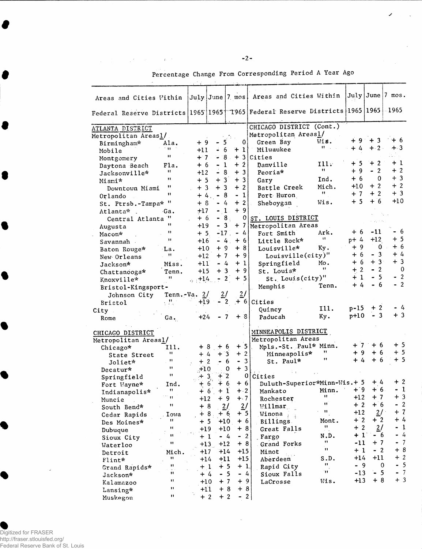|  | Percentage Change From Corresponding Period A Year Ago |  |  |
|--|--------------------------------------------------------|--|--|
|  |                                                        |  |  |

 $\mathcal{L}$ 

 $\mathcal{L}$ 

| Areas and Cities Within                                                                         |                   |                       |                                               | July June 7~mos     | Areas and Cities Within      |                       |        |                 | July   June   7 mos.                  |  |  |
|-------------------------------------------------------------------------------------------------|-------------------|-----------------------|-----------------------------------------------|---------------------|------------------------------|-----------------------|--------|-----------------|---------------------------------------|--|--|
| Federal Reserve Districts   1965   1965   1965   Federal Reserve Districts   1965   1965   1965 |                   |                       |                                               |                     |                              |                       |        |                 |                                       |  |  |
| ATLANTA DISTRICT                                                                                |                   |                       |                                               |                     | CHICAGO DISTRICT (Cont.)     |                       |        |                 |                                       |  |  |
| Metropolitan Areas1/                                                                            |                   |                       |                                               |                     | Metropolitan Areas1/         |                       |        |                 |                                       |  |  |
| Birmingham*                                                                                     | Ala.              | $+9$                  | 5                                             | $\mathbf{0}$        | Green Bay                    | Wis.                  |        | $+9 + 3$        | ั+ 6                                  |  |  |
| Mobile                                                                                          | $\mathbf{H}$      | $+11$                 | 6                                             | $+11$               | Milwaukee                    | 11                    | $+4$   | $+ 2$           | $+.3$                                 |  |  |
| Montgomery                                                                                      | $\blacksquare$    | $+7$                  |                                               | 8 <sub>1</sub>      | $+3$ Cities                  |                       |        |                 | $\mathbb{Z}_{2n}$ . $\mathbb{Z}_{2n}$ |  |  |
| Daytona Beach                                                                                   | Fla.              | $+6$                  | -1<br>$\ddot{\phantom{1}}$                    | $+2$                | Danville                     | 111.                  | $+5$   | $+2$            | $+1$                                  |  |  |
| Jacksonville*                                                                                   | Ħ                 | $+12$                 | 8<br>$\blacksquare$                           | $+3$                | Peoria*                      | 11                    | $+9$   | $-2$            | $+2$                                  |  |  |
| Miami*                                                                                          | 11                | $+5$                  | $+$<br>$\overline{3}$                         | $+3$                | Gary                         | Ind.                  | $+6$   | 0               | $+3$                                  |  |  |
| Downtown Miami                                                                                  | $\mathbf{H}$      | $+3$                  | $\ddot{}$<br>$\overline{3}$                   | $+2$                | Battle Creek                 | Mich.                 | $+10$  | $+2$            | $+2$                                  |  |  |
| Orlando                                                                                         | $\mathbf{H}$      | $+4,$                 | $\bullet$<br>- 8                              | $-1$                | Port Huron                   | n                     | $+7$   | $+2$            | $+3$                                  |  |  |
| St. Ptrsb.-Tampa* "                                                                             |                   | $+8$                  | $\ddot{\phantom{0}}$                          | $+2$<br>4           | Sheboygan                    | Wis.                  | $+5$   | $+6$            | $+10$                                 |  |  |
| Atlanta* .                                                                                      | ·Ga.              | $+17$                 | $-1$ .                                        | $+9$                |                              |                       |        |                 |                                       |  |  |
| Central Atlanta "                                                                               |                   | $+6$                  | $-8.$                                         | 0                   | ST. LOUIS DISTRICT           |                       |        |                 |                                       |  |  |
| Augusta                                                                                         | 11                | $+19$                 | $\overline{3}$<br>$\blacksquare$              | $+7$                | Metropolitan Areas           |                       |        |                 |                                       |  |  |
| Macon*                                                                                          | $\mathbf{H}$      | $+5$                  | $-17$ .                                       | $-4$                | Fort Smith                   | Ark.                  | + 6    | -11             | - 6                                   |  |  |
| Savannah -                                                                                      | $\mathbf{H}$      | $+16$                 | $-4.$                                         | $+6$                | Little Rock*                 | Ħ                     | $p+4$  | $+12$           | $+5$                                  |  |  |
| Baton Rouge*                                                                                    | ·La.              | $+10$                 | $+9$                                          | $+8$                | Louisville*                  | Ky.                   | + 9    | 0               | $+6$                                  |  |  |
| New Orleans                                                                                     | 11                | $+12$                 | $+7$                                          | $+9$                | Louisville(city)"            |                       | + 6    | $-3$            | $+4$                                  |  |  |
| Jackson*                                                                                        | Miss.             | $+11$                 | $-4$                                          | $+1$                | Springfield                  | Mo.                   | $+6$   | $+3$            | $+3$                                  |  |  |
| Chattanooga*                                                                                    | Tenn.             | $+15$                 | $+3$                                          | $+9$                | St. Louis*                   | 11                    | $+2$   | $-2$            | 0                                     |  |  |
| Knoxville*                                                                                      | 11                | $+14$                 | $\overline{z}$                                | $+5$<br>$2^{\circ}$ | St. Louis(city)"             |                       | $+1$   | $-5$            | $-2$                                  |  |  |
| Bristol-Kingsport-                                                                              |                   |                       |                                               |                     | Memphis                      | Tenn.                 | $+4$   | $-6$            | $-2$                                  |  |  |
| Johnson City                                                                                    | Tenn.-Va. $2/$    |                       | $\frac{2}{\sqrt{2}}$                          | $\frac{2}{\pi}$     |                              |                       |        |                 |                                       |  |  |
| <b>Bristol</b>                                                                                  | v B.              | +19                   |                                               | 2                   | $+ 6$ Cities                 |                       |        |                 |                                       |  |  |
| City.                                                                                           |                   |                       |                                               |                     | Quincy                       | 111.                  | $p-15$ | $+2$            | $-4$                                  |  |  |
| Rome                                                                                            | Ga.               | $+24$                 | - 7                                           | $+$ 8               | Paducah                      | Ky.                   | $p+10$ | $-3$            | $+3$                                  |  |  |
| CHICAGO DISTRICT                                                                                |                   |                       |                                               |                     | MINNEAPOLIS DISTRICT         |                       |        |                 |                                       |  |  |
| Metropolitan Areas1/                                                                            |                   |                       |                                               |                     | Metropolitan Areas           |                       |        |                 |                                       |  |  |
| Chicago*                                                                                        | 111.              | $+8$                  | $+6$                                          | $+5$                | Mpls.-St. Paul* Minn.        | 11                    | +7     | $+6$            | $+5$                                  |  |  |
| State Street                                                                                    | 11                | $+$                   | $+3$<br>$\frac{1}{4}$                         | $+2$                | Minneapolis*                 | 11                    | $+9$   | $+6$            | $+5$<br>$+5$                          |  |  |
| Joliet*                                                                                         | 11                | $\overline{c}$<br>$+$ | $-6$                                          | $-3$                | St. Paul*                    |                       | $+4$   | + 6             |                                       |  |  |
| Decatur*                                                                                        | Ħ<br>$\mathbf{H}$ | $+10$                 |                                               | $+3$<br>$\mathbf 0$ |                              |                       |        |                 |                                       |  |  |
| Springfield                                                                                     |                   |                       | $\begin{array}{c} +2 \\ +6 \end{array}$<br>3, | 0                   | Cities                       |                       |        | $+4$            | $+2$                                  |  |  |
| Fort Wayne*                                                                                     | Ind.<br>$\cdots$  |                       | 6 <sup>1</sup>                                | $+6$                | Duluth-Superior*Minn-Wis.+ 5 |                       |        | $+9 + 6$        | $-1$                                  |  |  |
| Indianapolis*                                                                                   | $\mathbf{H}$      | $+ 6$ .               | $+1$                                          | $+ 2$               | Mankato Minn.                | 11                    | $+12$  | $+7$            | $+3$                                  |  |  |
| Muncie                                                                                          | Ħ                 | $+12$                 | $+9$                                          | $+.7$               | Rochester                    | $\pmb{\mathfrak{g}}$  | $+2$   | $+ 6$           | $-2$                                  |  |  |
| South Bend*                                                                                     |                   | $\ddot{}$             | 8                                             | 2l<br>$\frac{2}{ }$ | Willmar                      | $\mathbf{H}$          | $+12$  | 2/              | $+7$                                  |  |  |
| Cedar Rapids                                                                                    | Iowa<br>11        | $+8$                  | $+6$                                          | $+5$                | Winona                       |                       | $+2$   | $+2$            | + 4                                   |  |  |
| Des Moines*                                                                                     | Ħ                 | $+5$                  | $+10$                                         | $+6$<br>$+8$        | Billings.                    | Mont.<br>$\mathbf{H}$ | $+2$   | $\frac{2}{\pi}$ | $\mathbf{1}$                          |  |  |
| Dubuque                                                                                         | u                 | $+19$                 | $+10$                                         |                     | Great Falls                  | $\sim$ $\sim$         | $+1$   | - 6             | $\frac{1}{4}$                         |  |  |
| Sioux City                                                                                      | Ħ                 | $+1$                  | $-4$                                          | $-2$<br>$+8$        | Fargo                        | N.D.<br>11            | $-11$  | $+7$            | $\overline{7}$                        |  |  |
| Waterloo                                                                                        |                   | $+13$                 | $+12$                                         | $+15$               | Grand Forks                  | Ħ                     | $+1$   | - 2             | $+8$                                  |  |  |
| Detroit                                                                                         | Mich.<br>11       | $+17$                 | $+14$<br>$+11$                                | $+15$               | Minot                        | S.D.                  | $+14$  | $+11$           | $+2$                                  |  |  |
| Flint*                                                                                          | 11                | $+14$                 | $+5$                                          | $+1$                | Aberdeen                     | n                     | $-9$   |                 | $-5$<br>$\mathbf 0$                   |  |  |
| Grand Rapids*                                                                                   | H.                | $+1$                  | $-5$                                          | $-4$                | Rapid City<br>Sioux Falls    | 'n.                   | $-13$  | $-5$            | $-7$                                  |  |  |
| Jackson*                                                                                        | Ħ                 | + 4<br>$+10$          | $+7$                                          | $+9$                |                              | Wis.                  | $+13$  | $+8$            | $+3$                                  |  |  |
| Kalamazoo                                                                                       | u                 | $+11$                 | $+8$                                          | $+8$                | LaCrosse                     |                       |        |                 |                                       |  |  |
| Lansing*<br>Muskegon                                                                            | n                 | $+2$                  | $+2$                                          | $\blacksquare$      | 2                            |                       |        |                 |                                       |  |  |

 $\sim 10^{-1}$ 

## ● Digitized for FRASER<br>http://fraser.stlouisfed.org/<br>Federal Reserve Bank of St. Louis

 $\hat{\mathcal{A}}$ 

 $\label{eq:2.1} \mathbb{E}_{\mathbf{z}}\left[\mathbb{E}_{\mathbf{z}}\left[\mathbb{E}_{\mathbf{z}}\right]\right]=\mathbb{E}_{\mathbf{z}}\left[\mathbb{E}_{\mathbf{z}}\left[\mathbb{E}_{\mathbf{z}}\right]\right]=\mathbb{E}_{\mathbf{z}}\left[\mathbb{E}_{\mathbf{z}}\right]$